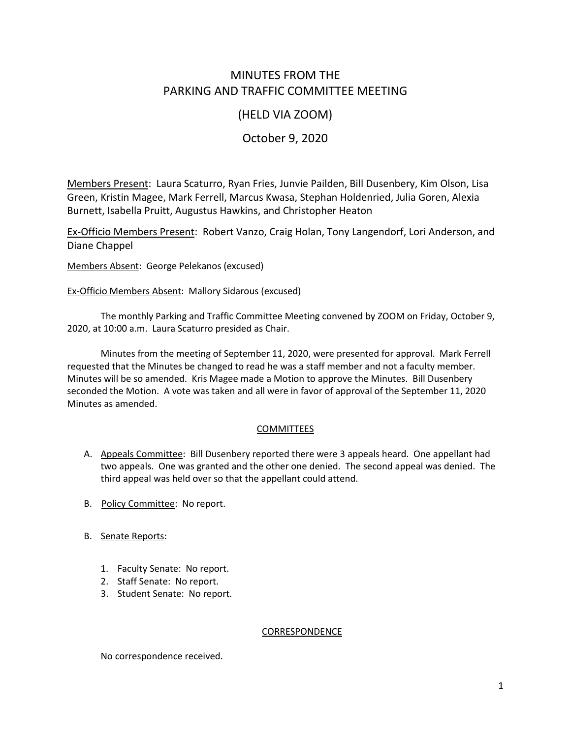# MINUTES FROM THE PARKING AND TRAFFIC COMMITTEE MEETING

## (HELD VIA ZOOM)

## October 9, 2020

Members Present: Laura Scaturro, Ryan Fries, Junvie Pailden, Bill Dusenbery, Kim Olson, Lisa Green, Kristin Magee, Mark Ferrell, Marcus Kwasa, Stephan Holdenried, Julia Goren, Alexia Burnett, Isabella Pruitt, Augustus Hawkins, and Christopher Heaton

Ex-Officio Members Present: Robert Vanzo, Craig Holan, Tony Langendorf, Lori Anderson, and Diane Chappel

Members Absent: George Pelekanos (excused)

Ex-Officio Members Absent: Mallory Sidarous (excused)

The monthly Parking and Traffic Committee Meeting convened by ZOOM on Friday, October 9, 2020, at 10:00 a.m. Laura Scaturro presided as Chair.

Minutes from the meeting of September 11, 2020, were presented for approval. Mark Ferrell requested that the Minutes be changed to read he was a staff member and not a faculty member. Minutes will be so amended. Kris Magee made a Motion to approve the Minutes. Bill Dusenbery seconded the Motion. A vote was taken and all were in favor of approval of the September 11, 2020 Minutes as amended.

## **COMMITTEES**

- A. Appeals Committee: Bill Dusenbery reported there were 3 appeals heard. One appellant had two appeals. One was granted and the other one denied. The second appeal was denied. The third appeal was held over so that the appellant could attend.
- B. Policy Committee: No report.
- B. Senate Reports:
	- 1. Faculty Senate: No report.
	- 2. Staff Senate: No report.
	- 3. Student Senate: No report.

#### CORRESPONDENCE

No correspondence received.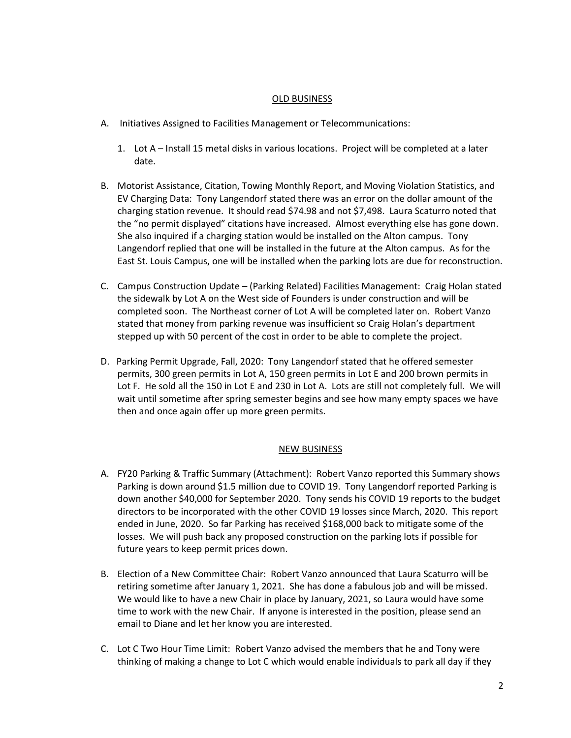#### OLD BUSINESS

- A. Initiatives Assigned to Facilities Management or Telecommunications:
	- 1. Lot A Install 15 metal disks in various locations. Project will be completed at a later date.
- B. Motorist Assistance, Citation, Towing Monthly Report, and Moving Violation Statistics, and EV Charging Data: Tony Langendorf stated there was an error on the dollar amount of the charging station revenue. It should read \$74.98 and not \$7,498. Laura Scaturro noted that the "no permit displayed" citations have increased. Almost everything else has gone down. She also inquired if a charging station would be installed on the Alton campus. Tony Langendorf replied that one will be installed in the future at the Alton campus. As for the East St. Louis Campus, one will be installed when the parking lots are due for reconstruction.
- C. Campus Construction Update (Parking Related) Facilities Management: Craig Holan stated the sidewalk by Lot A on the West side of Founders is under construction and will be completed soon. The Northeast corner of Lot A will be completed later on. Robert Vanzo stated that money from parking revenue was insufficient so Craig Holan's department stepped up with 50 percent of the cost in order to be able to complete the project.
- D. Parking Permit Upgrade, Fall, 2020: Tony Langendorf stated that he offered semester permits, 300 green permits in Lot A, 150 green permits in Lot E and 200 brown permits in Lot F. He sold all the 150 in Lot E and 230 in Lot A. Lots are still not completely full. We will wait until sometime after spring semester begins and see how many empty spaces we have then and once again offer up more green permits.

## NEW BUSINESS

- A. FY20 Parking & Traffic Summary (Attachment): Robert Vanzo reported this Summary shows Parking is down around \$1.5 million due to COVID 19. Tony Langendorf reported Parking is down another \$40,000 for September 2020. Tony sends his COVID 19 reports to the budget directors to be incorporated with the other COVID 19 losses since March, 2020. This report ended in June, 2020. So far Parking has received \$168,000 back to mitigate some of the losses. We will push back any proposed construction on the parking lots if possible for future years to keep permit prices down.
- B. Election of a New Committee Chair: Robert Vanzo announced that Laura Scaturro will be retiring sometime after January 1, 2021. She has done a fabulous job and will be missed. We would like to have a new Chair in place by January, 2021, so Laura would have some time to work with the new Chair. If anyone is interested in the position, please send an email to Diane and let her know you are interested.
- C. Lot C Two Hour Time Limit: Robert Vanzo advised the members that he and Tony were thinking of making a change to Lot C which would enable individuals to park all day if they